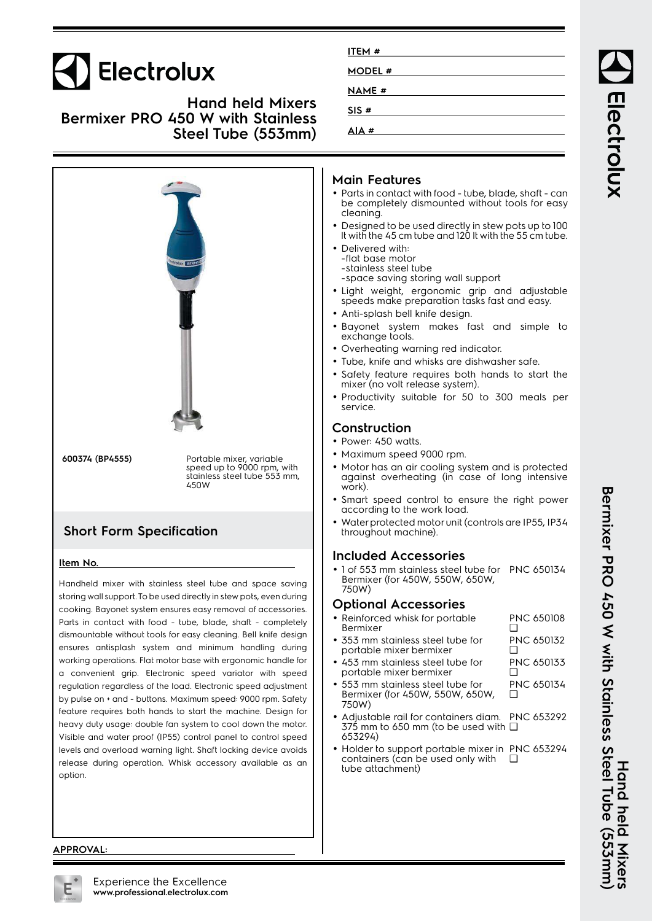| Electrolux<br><b>Hand held Mixers</b><br><b>Bermixer PRO 450 W with Stainless</b><br>Steel Tube (553mm) | ITEM #<br>MODEL #<br><b>NAME#</b><br>SIS#<br>AIA#                                                                                                                                                                                                                                                                                                                                                                                                                                                                                                                                                                                                                                                                                                                                                                               |
|---------------------------------------------------------------------------------------------------------|---------------------------------------------------------------------------------------------------------------------------------------------------------------------------------------------------------------------------------------------------------------------------------------------------------------------------------------------------------------------------------------------------------------------------------------------------------------------------------------------------------------------------------------------------------------------------------------------------------------------------------------------------------------------------------------------------------------------------------------------------------------------------------------------------------------------------------|
| ctrolux BER                                                                                             | <b>Main Features</b><br>• Parts in contact with food - tube, blade, shaft - can<br>be completely dismounted without tools for easy<br>cleaning.<br>• Designed to be used directly in stew pots up to 100<br>It with the 45 cm tube and 120 It with the 55 cm tube.<br>• Delivered with:<br>-flat base motor<br>-stainless steel tube<br>-space saving storing wall support<br>· Light weight, ergonomic grip and adjustable<br>speeds make preparation tasks fast and easy.<br>• Anti-splash bell knife design.<br>· Bayonet system makes fast and simple to<br>exchange tools.<br>• Overheating warning red indicator.<br>• Tube, knife and whisks are dishwasher safe.<br>· Safety feature requires both hands to start the<br>mixer (no volt release system).<br>• Productivity suitable for 50 to 300 meals per<br>service. |

**Construction**

- Power: 450 watts.
- Maximum speed 9000 rpm.
- • Motor has an air cooling system and is protected against overheating (in case of long intensive work).
- Smart speed control to ensure the right power according to the work load.
- • Water protected motor unit (controls are IP55, IP34 throughout machine).

#### **Included Accessories**

• 1 of 553 mm stainless steel tube for PNC 650134 Bermixer (for 450W, 550W, 650W, 750W)

## **Optional Accessories**

- • Reinforced whisk for portable Bermixer PNC 650108  $\Box$
- 353 mm stainless steel tube for portable mixer bermixer PNC 650132  $\Box$
- • 453 mm stainless steel tube for portable mixer bermixer PNC 650133  $\Box$
- • 553 mm stainless steel tube for Bermixer (for 450W, 550W, 650W, 750W) PNC 650134  $\Box$
- • Adjustable rail for containers diam. PNC 653292 375 mm to 650 mm (to be used with ❑ 653294)
- Holder to support portable mixer in PNC 653294 containers (can be used only with tube attachment)  $\Box$

**APPROVAL:**

option.

**Item No.**



**Short Form Specification**

**600374 (BP4555)** Portable mixer, variable

450W

Handheld mixer with stainless steel tube and space saving storing wall support. To be used directly in stew pots, even during cooking. Bayonet system ensures easy removal of accessories. Parts in contact with food - tube, blade, shaft - completely dismountable without tools for easy cleaning. Bell knife design ensures antisplash system and minimum handling during working operations. Flat motor base with ergonomic handle for a convenient grip. Electronic speed variator with speed regulation regardless of the load. Electronic speed adjustment by pulse on + and - buttons. Maximum speed: 9000 rpm. Safety feature requires both hands to start the machine. Design for heavy duty usage: double fan system to cool down the motor. Visible and water proof (IP55) control panel to control speed levels and overload warning light. Shaft locking device avoids release during operation. Whisk accessory available as an

speed up to 9000 rpm, with stainless steel tube 553 mm,

Bermixer PRO 450 With Steel Tube (553mm) **Bermixer PRO 450 W with Stainless Steel Tube (553mm)** Hand held Mixers **Hand held Mixers**

Electrolux